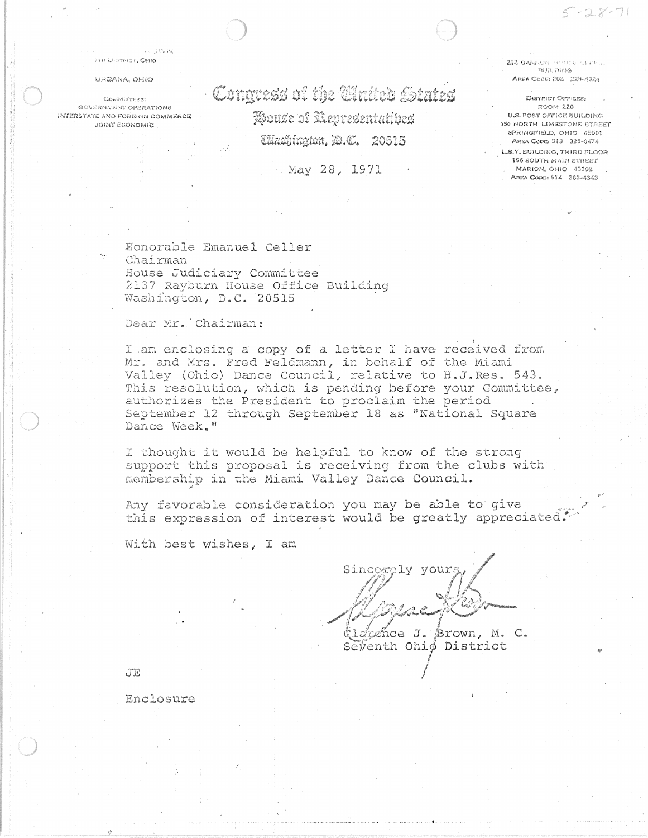## ZIN DISTRICT, OHIO

Live stayed

## URSANA, OHIO

**COMMITTEES:** GOVERNMENT OPERATIONS INTERSTATE AND FOREIGN COMMERCE JOINT ECONOMIC

Congress of the Chrite's States House of Representatives **Calazhington, D.C. 20515** 

## May 28, 1971

212 CANNON RESUSE ONE Bill counts AREA CODE: 202 225-4324

 $-28-71$ 

DISTRICT OFFICES: ROOM 220 U.S. POST OFFICE BUILDING **150 NORTH LIMESTONE STREET** SPRINGFIELD, OHIO 45501 AREA CODE: 513 325-0474 LS.Y. BUILDING. THIRD FLOOR 196 SOUTH MAIN STREET MARION, OHIO 43302 AREA CODE: 614 383-4343

Honorable Emanuel Celler Chairman House Judiciary Committee 2137 Rayburn House Office Building Washington, D.C. 20515

Dear Mr. Chairman:

I am enclosing a copy of a letter I have received from Mr. and Mrs. Fred Feldmann, in behalf of the Miami Valley (Ohio) Dance Council, relative to H.J.Res. 543. This resolution, which is pending before your Committee, authorizes the President to proclaim the period September 12 through September 18 as "National Square Dance Week."

I thought it would be helpful to know of the strong support this proposal is receiving from the clubs with membership in the Miami Valley Dance Council.

Any favorable consideration you may be able to give this expression of interest would be greatly appreciated.

With best wishes, I am

Sinceraly yours (labence J. Brown, M. C. Seventh Ohiø District

 $JE$ 

Enclosure